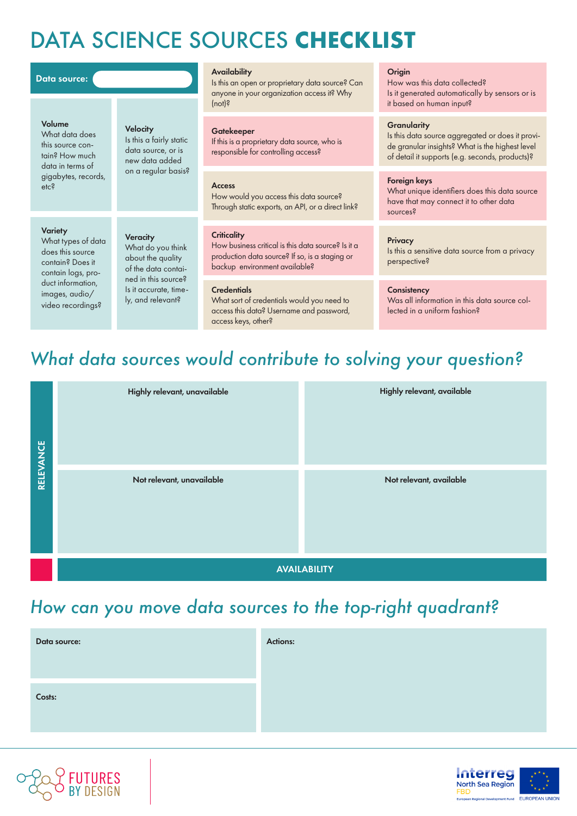# DATA SCIENCE SOURCES **CHECKLIST**

### Volume

What data does this source contain? How much data in terms of gigabytes, records, etc?

## **Velocity**

Is this a fairly static data source, or is new data added on a regular basis?

### **Variety**

What types of data does this source contain? Does it contain logs, product information, images, audio/ video recordings?

**Veracity** What do you think about the quality of the data contained in this source? Is it accurate, timely, and relevant?

### **Availability**

Data source: **Origin**<br>Is this an open or proprietary data source? Can How w anyone in your organization access it? Why (not)?

### **Gatekeeper**

If this is a proprietary data source, who is responsible for controlling access?

### Access

How would you access this data source? Through static exports, an API, or a direct link?

### **Criticality**

How business critical is this data source? Is it a production data source? If so, is a staging or backup environment available?

### **Credentials**

What sort of credentials would you need to access this data? Username and password, access keys, other?

How was this data collected? Is it generated automatically by sensors or is it based on human input?

### **Granularity**

Is this data source aggregated or does it provide granular insights? What is the highest level of detail it supports (e.g. seconds, products)?

### Foreign keys

What unique identifiers does this data source have that may connect it to other data sources?

### **Privacy**

Is this a sensitive data source from a privacy perspective?

### **Consistency**

Was all information in this data source collected in a uniform fashion?

# *What data sources would contribute to solving your question?*

| RELEVANCE | Highly relevant, unavailable | Highly relevant, available |  |
|-----------|------------------------------|----------------------------|--|
|           | Not relevant, unavailable    | Not relevant, available    |  |
|           | <b>AVAILABILITY</b>          |                            |  |

## *How can you move data sources to the top-right quadrant?*

| Data source: | <b>Actions:</b> |
|--------------|-----------------|
|              |                 |
| Costs:       |                 |
|              |                 |